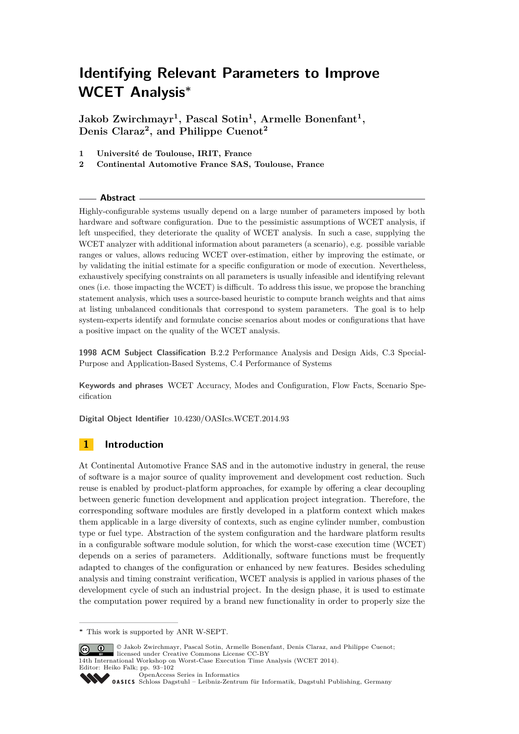**Jakob Zwirchmayr<sup>1</sup> , Pascal Sotin<sup>1</sup> , Armelle Bonenfant<sup>1</sup> , Denis Claraz<sup>2</sup> , and Philippe Cuenot<sup>2</sup>**

**1 Université de Toulouse, IRIT, France**

**2 Continental Automotive France SAS, Toulouse, France**

## **Abstract**

Highly-configurable systems usually depend on a large number of parameters imposed by both hardware and software configuration. Due to the pessimistic assumptions of WCET analysis, if left unspecified, they deteriorate the quality of WCET analysis. In such a case, supplying the WCET analyzer with additional information about parameters (a scenario), e.g. possible variable ranges or values, allows reducing WCET over-estimation, either by improving the estimate, or by validating the initial estimate for a specific configuration or mode of execution. Nevertheless, exhaustively specifying constraints on all parameters is usually infeasible and identifying relevant ones (i.e. those impacting the WCET) is difficult. To address this issue, we propose the branching statement analysis, which uses a source-based heuristic to compute branch weights and that aims at listing unbalanced conditionals that correspond to system parameters. The goal is to help system-experts identify and formulate concise scenarios about modes or configurations that have a positive impact on the quality of the WCET analysis.

**1998 ACM Subject Classification** B.2.2 Performance Analysis and Design Aids, C.3 Special-Purpose and Application-Based Systems, C.4 Performance of Systems

**Keywords and phrases** WCET Accuracy, Modes and Configuration, Flow Facts, Scenario Specification

**Digital Object Identifier** [10.4230/OASIcs.WCET.2014.93](http://dx.doi.org/10.4230/OASIcs.WCET.2014.93)

# <span id="page-0-0"></span>**1 Introduction**

At Continental Automotive France SAS and in the automotive industry in general, the reuse of software is a major source of quality improvement and development cost reduction. Such reuse is enabled by product-platform approaches, for example by offering a clear decoupling between generic function development and application project integration. Therefore, the corresponding software modules are firstly developed in a platform context which makes them applicable in a large diversity of contexts, such as engine cylinder number, combustion type or fuel type. Abstraction of the system configuration and the hardware platform results in a configurable software module solution, for which the worst-case execution time (WCET) depends on a series of parameters. Additionally, software functions must be frequently adapted to changes of the configuration or enhanced by new features. Besides scheduling analysis and timing constraint verification, WCET analysis is applied in various phases of the development cycle of such an industrial project. In the design phase, it is used to estimate the computation power required by a brand new functionality in order to properly size the

**<sup>∗</sup>** This work is supported by ANR W-SEPT.



14th International Workshop on Worst-Case Execution Time Analysis (WCET 2014). Editor: Heiko Falk; pp. 93[–102](#page-9-0)

[OpenAccess Series in Informatics](http://www.dagstuhl.de/oasics/)

[Schloss Dagstuhl – Leibniz-Zentrum für Informatik, Dagstuhl Publishing, Germany](http://www.dagstuhl.de/)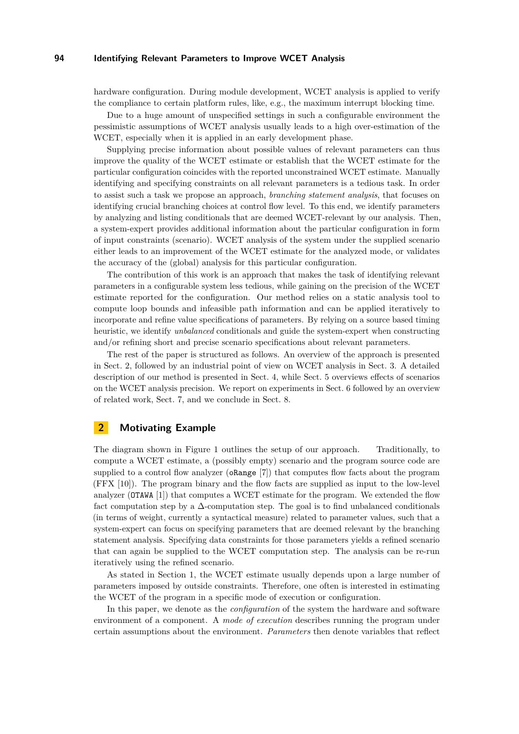hardware configuration. During module development, WCET analysis is applied to verify the compliance to certain platform rules, like, e.g., the maximum interrupt blocking time.

Due to a huge amount of unspecified settings in such a configurable environment the pessimistic assumptions of WCET analysis usually leads to a high over-estimation of the WCET, especially when it is applied in an early development phase.

Supplying precise information about possible values of relevant parameters can thus improve the quality of the WCET estimate or establish that the WCET estimate for the particular configuration coincides with the reported unconstrained WCET estimate. Manually identifying and specifying constraints on all relevant parameters is a tedious task. In order to assist such a task we propose an approach, *branching statement analysis*, that focuses on identifying crucial branching choices at control flow level. To this end, we identify parameters by analyzing and listing conditionals that are deemed WCET-relevant by our analysis. Then, a system-expert provides additional information about the particular configuration in form of input constraints (scenario). WCET analysis of the system under the supplied scenario either leads to an improvement of the WCET estimate for the analyzed mode, or validates the accuracy of the (global) analysis for this particular configuration.

The contribution of this work is an approach that makes the task of identifying relevant parameters in a configurable system less tedious, while gaining on the precision of the WCET estimate reported for the configuration. Our method relies on a static analysis tool to compute loop bounds and infeasible path information and can be applied iteratively to incorporate and refine value specifications of parameters. By relying on a source based timing heuristic, we identify *unbalanced* conditionals and guide the system-expert when constructing and/or refining short and precise scenario specifications about relevant parameters.

The rest of the paper is structured as follows. An overview of the approach is presented in Sect. [2,](#page-1-0) followed by an industrial point of view on WCET analysis in Sect. [3.](#page-3-0) A detailed description of our method is presented in Sect. [4,](#page-4-0) while Sect. [5](#page-5-0) overviews effects of scenarios on the WCET analysis precision. We report on experiments in Sect. [6](#page-6-0) followed by an overview of related work, Sect. [7,](#page-7-0) and we conclude in Sect. [8.](#page-8-0)

# <span id="page-1-0"></span>**2 Motivating Example**

The diagram shown in Figure [1](#page-2-0) outlines the setup of our approach. Traditionally, to compute a WCET estimate, a (possibly empty) scenario and the program source code are supplied to a control flow analyzer (oRange [\[7\]](#page-9-1)) that computes flow facts about the program (FFX [\[10\]](#page-9-2)). The program binary and the flow facts are supplied as input to the low-level analyzer (OTAWA [\[1\]](#page-9-3)) that computes a WCET estimate for the program. We extended the flow fact computation step by a  $\Delta$ -computation step. The goal is to find unbalanced conditionals (in terms of weight, currently a syntactical measure) related to parameter values, such that a system-expert can focus on specifying parameters that are deemed relevant by the branching statement analysis. Specifying data constraints for those parameters yields a refined scenario that can again be supplied to the WCET computation step. The analysis can be re-run iteratively using the refined scenario.

As stated in Section [1,](#page-0-0) the WCET estimate usually depends upon a large number of parameters imposed by outside constraints. Therefore, one often is interested in estimating the WCET of the program in a specific mode of execution or configuration.

In this paper, we denote as the *configuration* of the system the hardware and software environment of a component. A *mode of execution* describes running the program under certain assumptions about the environment. *Parameters* then denote variables that reflect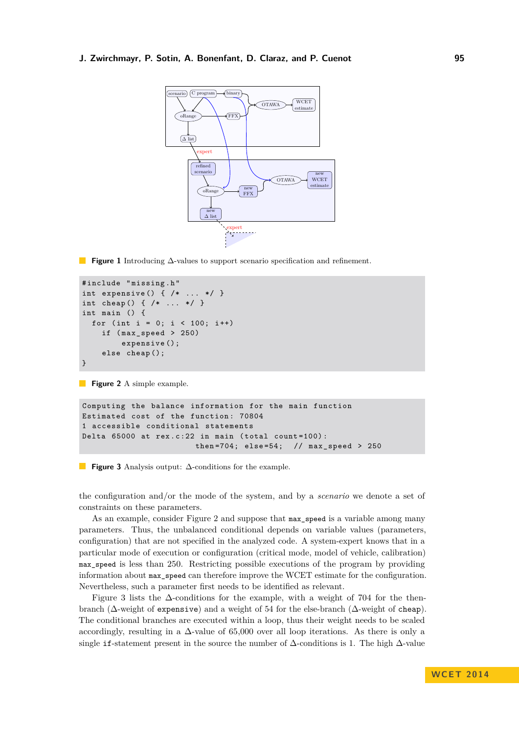## <span id="page-2-0"></span>**J. Zwirchmayr, P. Sotin, A. Bonenfant, D. Claraz, and P. Cuenot 95**



**Figure 1** Introducing ∆-values to support scenario specification and refinement.

```
# include " missing . h "
int expensive() { /* \ldots * / }
int cheap () { /* ... */ }
int main () {
  for (int i = 0; i < 100; i++)if (max_speed > 250)expensive ();
    else cheap ();
}
```
**Figure 2** A simple example.

```
Computing the balance information for the main function
Estimated cost of the function : 70804
1 accessible conditional statements
Delta 65000 at rex.c:22 in main (total count=100):
                       then=704; else=54; // max_speed > 250
```
**Figure 3** Analysis output: ∆-conditions for the example.

the configuration and/or the mode of the system, and by a *scenario* we denote a set of constraints on these parameters.

As an example, consider Figure [2](#page-2-1) and suppose that max\_speed is a variable among many parameters. Thus, the unbalanced conditional depends on variable values (parameters, configuration) that are not specified in the analyzed code. A system-expert knows that in a particular mode of execution or configuration (critical mode, model of vehicle, calibration) max\_speed is less than 250. Restricting possible executions of the program by providing information about max\_speed can therefore improve the WCET estimate for the configuration. Nevertheless, such a parameter first needs to be identified as relevant.

Figure [3](#page-2-2) lists the ∆-conditions for the example, with a weight of 704 for the thenbranch ( $\Delta$ -weight of expensive) and a weight of 54 for the else-branch ( $\Delta$ -weight of cheap). The conditional branches are executed within a loop, thus their weight needs to be scaled accordingly, resulting in a  $\Delta$ -value of 65,000 over all loop iterations. As there is only a single if-statement present in the source the number of ∆-conditions is 1. The high ∆-value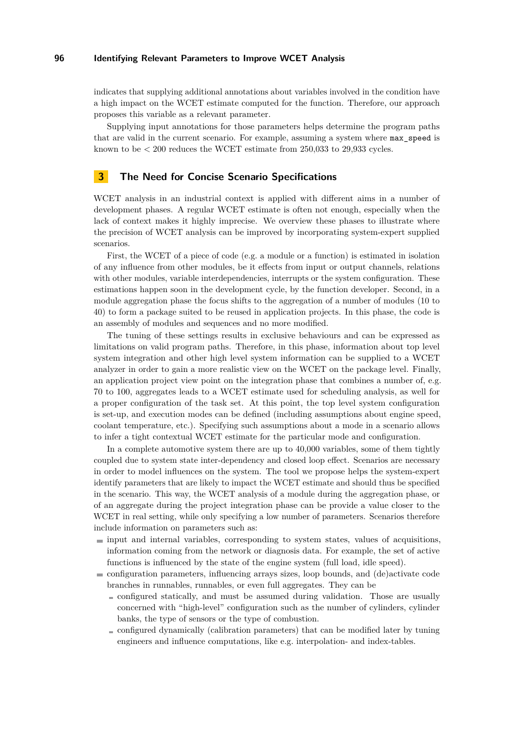indicates that supplying additional annotations about variables involved in the condition have a high impact on the WCET estimate computed for the function. Therefore, our approach proposes this variable as a relevant parameter.

Supplying input annotations for those parameters helps determine the program paths that are valid in the current scenario. For example, assuming a system where max\_speed is known to be  $\lt$  200 reduces the WCET estimate from 250,033 to 29,933 cycles.

# <span id="page-3-0"></span>**3 The Need for Concise Scenario Specifications**

WCET analysis in an industrial context is applied with different aims in a number of development phases. A regular WCET estimate is often not enough, especially when the lack of context makes it highly imprecise. We overview these phases to illustrate where the precision of WCET analysis can be improved by incorporating system-expert supplied scenarios.

First, the WCET of a piece of code (e.g. a module or a function) is estimated in isolation of any influence from other modules, be it effects from input or output channels, relations with other modules, variable interdependencies, interrupts or the system configuration. These estimations happen soon in the development cycle, by the function developer. Second, in a module aggregation phase the focus shifts to the aggregation of a number of modules (10 to 40) to form a package suited to be reused in application projects. In this phase, the code is an assembly of modules and sequences and no more modified.

The tuning of these settings results in exclusive behaviours and can be expressed as limitations on valid program paths. Therefore, in this phase, information about top level system integration and other high level system information can be supplied to a WCET analyzer in order to gain a more realistic view on the WCET on the package level. Finally, an application project view point on the integration phase that combines a number of, e.g. 70 to 100, aggregates leads to a WCET estimate used for scheduling analysis, as well for a proper configuration of the task set. At this point, the top level system configuration is set-up, and execution modes can be defined (including assumptions about engine speed, coolant temperature, etc.). Specifying such assumptions about a mode in a scenario allows to infer a tight contextual WCET estimate for the particular mode and configuration.

In a complete automotive system there are up to 40,000 variables, some of them tightly coupled due to system state inter-dependency and closed loop effect. Scenarios are necessary in order to model influences on the system. The tool we propose helps the system-expert identify parameters that are likely to impact the WCET estimate and should thus be specified in the scenario. This way, the WCET analysis of a module during the aggregation phase, or of an aggregate during the project integration phase can be provide a value closer to the WCET in real setting, while only specifying a low number of parameters. Scenarios therefore include information on parameters such as:

- $\blacksquare$  input and internal variables, corresponding to system states, values of acquisitions, information coming from the network or diagnosis data. For example, the set of active functions is influenced by the state of the engine system (full load, idle speed).
- configuration parameters, influencing arrays sizes, loop bounds, and (de)activate code branches in runnables, runnables, or even full aggregates. They can be
	- configured statically, and must be assumed during validation. Those are usually concerned with "high-level" configuration such as the number of cylinders, cylinder banks, the type of sensors or the type of combustion.
	- $\equiv$  configured dynamically (calibration parameters) that can be modified later by tuning engineers and influence computations, like e.g. interpolation- and index-tables.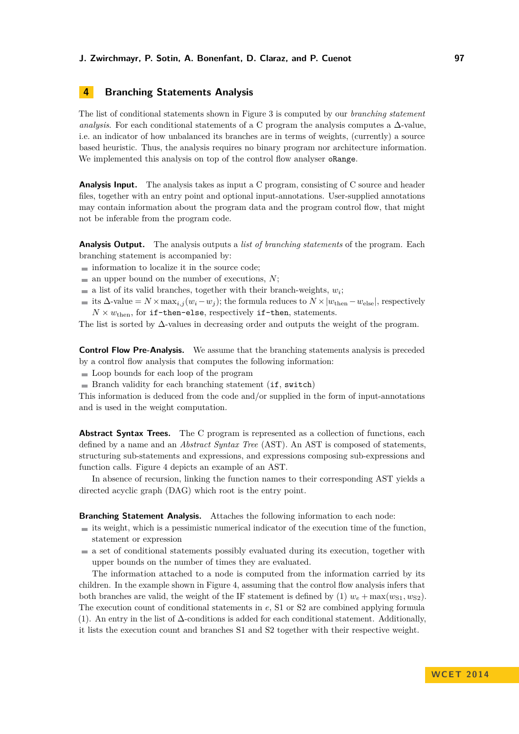## **J. Zwirchmayr, P. Sotin, A. Bonenfant, D. Claraz, and P. Cuenot 97**

# <span id="page-4-0"></span>**4 Branching Statements Analysis**

The list of conditional statements shown in Figure [3](#page-2-2) is computed by our *branching statement analysis*. For each conditional statements of a C program the analysis computes a  $\Delta$ -value, i.e. an indicator of how unbalanced its branches are in terms of weights, (currently) a source based heuristic. Thus, the analysis requires no binary program nor architecture information. We implemented this analysis on top of the control flow analyser **oRange**.

**Analysis Input.** The analysis takes as input a C program, consisting of C source and header files, together with an entry point and optional input-annotations. User-supplied annotations may contain information about the program data and the program control flow, that might not be inferable from the program code.

**Analysis Output.** The analysis outputs a *list of branching statements* of the program. Each branching statement is accompanied by:

- $\blacksquare$  information to localize it in the source code;
- $\blacksquare$  an upper bound on the number of executions, *N*;
- a list of its valid branches, together with their branch-weights,  $w_i$ ;
- its  $\Delta$ -value =  $N \times \max_{i,j} (w_i w_j)$ ; the formula reduces to  $N \times |w_{\text{then}} w_{\text{else}}|$ , respectively  $N \times w_{\text{then}}$ , for if-then-else, respectively if-then, statements.

The list is sorted by  $\Delta$ -values in decreasing order and outputs the weight of the program.

**Control Flow Pre-Analysis.** We assume that the branching statements analysis is preceded by a control flow analysis that computes the following information:

- Loop bounds for each loop of the program
- $\blacksquare$  Branch validity for each branching statement (if, switch)

This information is deduced from the code and/or supplied in the form of input-annotations and is used in the weight computation.

Abstract Syntax Trees. The C program is represented as a collection of functions, each defined by a name and an *Abstract Syntax Tree* (AST). An AST is composed of statements, structuring sub-statements and expressions, and expressions composing sub-expressions and function calls. Figure [4](#page-5-1) depicts an example of an AST.

In absence of recursion, linking the function names to their corresponding AST yields a directed acyclic graph (DAG) which root is the entry point.

#### **Branching Statement Analysis.** Attaches the following information to each node:

- $\blacksquare$  its weight, which is a pessimistic numerical indicator of the execution time of the function, statement or expression
- $\blacksquare$  a set of conditional statements possibly evaluated during its execution, together with upper bounds on the number of times they are evaluated.

The information attached to a node is computed from the information carried by its children. In the example shown in Figure [4,](#page-5-1) assuming that the control flow analysis infers that both branches are valid, the weight of the IF statement is defined by (1)  $w_e + \max(w_{S1}, w_{S2})$ . The execution count of conditional statements in *e*, S1 or S2 are combined applying formula (1). An entry in the list of ∆-conditions is added for each conditional statement. Additionally, it lists the execution count and branches S1 and S2 together with their respective weight.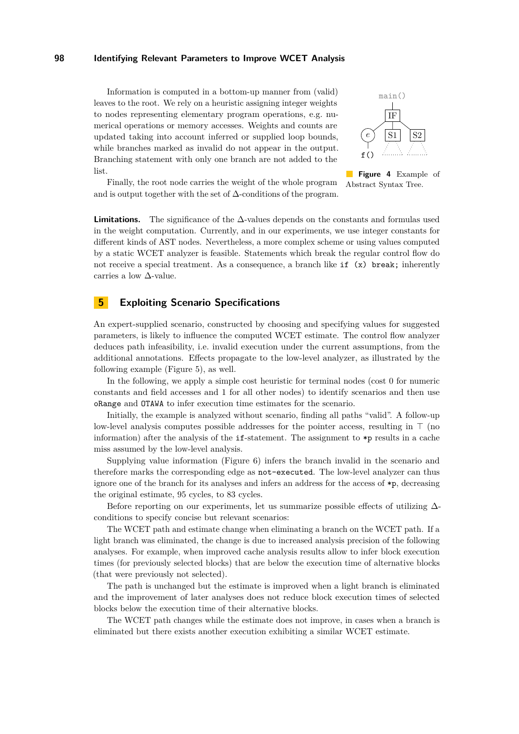Information is computed in a bottom-up manner from (valid) leaves to the root. We rely on a heuristic assigning integer weights to nodes representing elementary program operations, e.g. numerical operations or memory accesses. Weights and counts are updated taking into account inferred or supplied loop bounds, while branches marked as invalid do not appear in the output. Branching statement with only one branch are not added to the list.

<span id="page-5-1"></span>

**Figure 4** Example of Abstract Syntax Tree. Finally, the root node carries the weight of the whole program and is output together with the set of  $\Delta$ -conditions of the program.

**Limitations.** The significance of the ∆-values depends on the constants and formulas used in the weight computation. Currently, and in our experiments, we use integer constants for different kinds of AST nodes. Nevertheless, a more complex scheme or using values computed by a static WCET analyzer is feasible. Statements which break the regular control flow do not receive a special treatment. As a consequence, a branch like  $if(x)$  break; inherently carries a low ∆-value.

# <span id="page-5-0"></span>**5 Exploiting Scenario Specifications**

An expert-supplied scenario, constructed by choosing and specifying values for suggested parameters, is likely to influence the computed WCET estimate. The control flow analyzer deduces path infeasibility, i.e. invalid execution under the current assumptions, from the additional annotations. Effects propagate to the low-level analyzer, as illustrated by the following example (Figure [5\)](#page-6-1), as well.

In the following, we apply a simple cost heuristic for terminal nodes (cost 0 for numeric constants and field accesses and 1 for all other nodes) to identify scenarios and then use oRange and OTAWA to infer execution time estimates for the scenario.

Initially, the example is analyzed without scenario, finding all paths "valid". A follow-up low-level analysis computes possible addresses for the pointer access, resulting in  $\top$  (no information) after the analysis of the if-statement. The assignment to \*p results in a cache miss assumed by the low-level analysis.

Supplying value information (Figure [6\)](#page-6-1) infers the branch invalid in the scenario and therefore marks the corresponding edge as not-executed. The low-level analyzer can thus ignore one of the branch for its analyses and infers an address for the access of \*p, decreasing the original estimate, 95 cycles, to 83 cycles.

Before reporting on our experiments, let us summarize possible effects of utilizing ∆conditions to specify concise but relevant scenarios:

The WCET path and estimate change when eliminating a branch on the WCET path. If a light branch was eliminated, the change is due to increased analysis precision of the following analyses. For example, when improved cache analysis results allow to infer block execution times (for previously selected blocks) that are below the execution time of alternative blocks (that were previously not selected).

The path is unchanged but the estimate is improved when a light branch is eliminated and the improvement of later analyses does not reduce block execution times of selected blocks below the execution time of their alternative blocks.

The WCET path changes while the estimate does not improve, in cases when a branch is eliminated but there exists another execution exhibiting a similar WCET estimate.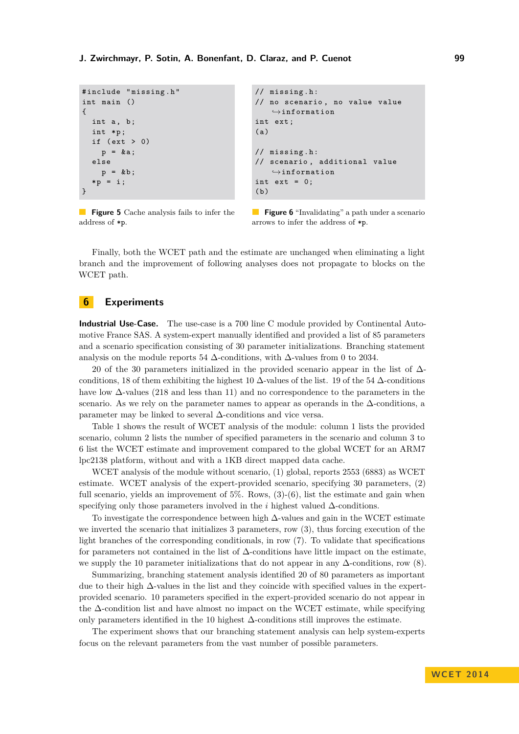```
# include " missing . h "
int main ()
{
  int a, b;
  int *p;
  if (\text{ext} > 0)p = k a;else
     p = k b;* p = i;}
```

```
// missing . h :
// no scenario , no value value
    \rightarrowinformation
int ext ;
(a)// missing . h :
// scenario , additional value
    \rightarrowinformation
int ext = 0;
(b)
```
**Figure 5** Cache analysis fails to infer the address of \*p.

**Figure 6** "Invalidating" a path under a scenario arrows to infer the address of \*p.

Finally, both the WCET path and the estimate are unchanged when eliminating a light branch and the improvement of following analyses does not propagate to blocks on the WCET path.

# <span id="page-6-0"></span>**6 Experiments**

**Industrial Use-Case.** The use-case is a 700 line C module provided by Continental Automotive France SAS. A system-expert manually identified and provided a list of 85 parameters and a scenario specification consisting of 30 parameter initializations. Branching statement analysis on the module reports 54  $\Delta$ -conditions, with  $\Delta$ -values from 0 to 2034.

20 of the 30 parameters initialized in the provided scenario appear in the list of  $\Delta$ conditions, 18 of them exhibiting the highest 10  $\Delta$ -values of the list. 19 of the 54  $\Delta$ -conditions have low  $\Delta$ -values (218 and less than 11) and no correspondence to the parameters in the scenario. As we rely on the parameter names to appear as operands in the  $\Delta$ -conditions, a parameter may be linked to several ∆-conditions and vice versa.

Table [1](#page-7-1) shows the result of WCET analysis of the module: column 1 lists the provided scenario, column 2 lists the number of specified parameters in the scenario and column 3 to 6 list the WCET estimate and improvement compared to the global WCET for an ARM7 lpc2138 platform, without and with a 1KB direct mapped data cache.

WCET analysis of the module without scenario, (1) global, reports 2553 (6883) as WCET estimate. WCET analysis of the expert-provided scenario, specifying 30 parameters, (2) full scenario, yields an improvement of 5%. Rows,  $(3)-(6)$ , list the estimate and gain when specifying only those parameters involved in the *i* highest valued ∆-conditions.

To investigate the correspondence between high ∆-values and gain in the WCET estimate we inverted the scenario that initializes 3 parameters, row (3), thus forcing execution of the light branches of the corresponding conditionals, in row (7). To validate that specifications for parameters not contained in the list of ∆-conditions have little impact on the estimate, we supply the 10 parameter initializations that do not appear in any  $\Delta$ -conditions, row (8).

Summarizing, branching statement analysis identified 20 of 80 parameters as important due to their high ∆-values in the list and they coincide with specified values in the expertprovided scenario. 10 parameters specified in the expert-provided scenario do not appear in the ∆-condition list and have almost no impact on the WCET estimate, while specifying only parameters identified in the 10 highest  $\Delta$ -conditions still improves the estimate.

The experiment shows that our branching statement analysis can help system-experts focus on the relevant parameters from the vast number of possible parameters.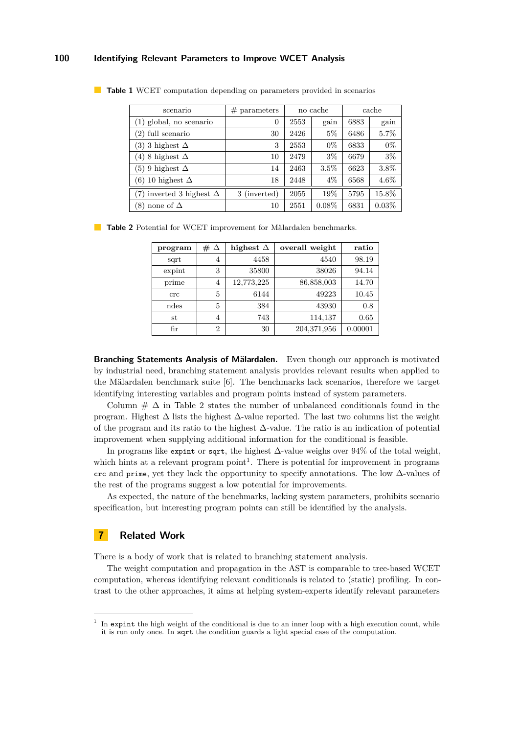| scenario                        | $#$ parameters | no cache |          | cache |         |
|---------------------------------|----------------|----------|----------|-------|---------|
| (1) global, no scenario         | $\theta$       | 2553     | gain     | 6883  | gain    |
| (2) full scenario               | 30             | 2426     | $5\%$    | 6486  | 5.7%    |
| (3) 3 highest $\Delta$          | 3              | 2553     | $0\%$    | 6833  | $0\%$   |
| (4) 8 highest $\Delta$          | 10             | 2479     | $3\%$    | 6679  | $3\%$   |
| $(5)$ 9 highest $\Delta$        | 14             | 2463     | 3.5%     | 6623  | 3.8%    |
| (6) 10 highest $\Delta$         | 18             | 2448     | $4\%$    | 6568  | $4.6\%$ |
| (7) inverted 3 highest $\Delta$ | 3 (inverted)   | 2055     | 19%      | 5795  | 15.8%   |
| (8) none of $\Delta$            | 10             | 2551     | $0.08\%$ | 6831  | 0.03%   |

<span id="page-7-1"></span>**Table 1** WCET computation depending on parameters provided in scenarios

<span id="page-7-2"></span>**Table 2** Potential for WCET improvement for Mälardalen benchmarks.

| program | $# \triangle$  | highest $\Delta$ | overall weight | ratio   |
|---------|----------------|------------------|----------------|---------|
| sqrt    | 4              | 4458             | 4540           | 98.19   |
| expint  | 3              | 35800            | 38026          | 94.14   |
| prime   | 4              | 12,773,225       | 86,858,003     | 14.70   |
| crc     | 5              | 6144             | 49223          | 10.45   |
| ndes    | 5              | 384              | 43930          | 0.8     |
| st      | 4              | 743              | 114,137        | 0.65    |
| fir     | $\overline{2}$ | 30               | 204,371,956    | 0.00001 |

**Branching Statements Analysis of Mälardalen.** Even though our approach is motivated by industrial need, branching statement analysis provides relevant results when applied to the Mälardalen benchmark suite [\[6\]](#page-9-4). The benchmarks lack scenarios, therefore we target identifying interesting variables and program points instead of system parameters.

Column  $\# \Delta$  in Table [2](#page-7-2) states the number of unbalanced conditionals found in the program. Highest  $\Delta$  lists the highest  $\Delta$ -value reported. The last two columns list the weight of the program and its ratio to the highest ∆-value. The ratio is an indication of potential improvement when supplying additional information for the conditional is feasible.

In programs like expint or sqrt, the highest ∆-value weighs over 94% of the total weight, which hints at a relevant program  $point<sup>1</sup>$  $point<sup>1</sup>$  $point<sup>1</sup>$ . There is potential for improvement in programs crc and prime, yet they lack the opportunity to specify annotations. The low  $\Delta$ -values of the rest of the programs suggest a low potential for improvements.

As expected, the nature of the benchmarks, lacking system parameters, prohibits scenario specification, but interesting program points can still be identified by the analysis.

# <span id="page-7-0"></span>**7 Related Work**

There is a body of work that is related to branching statement analysis.

The weight computation and propagation in the AST is comparable to tree-based WCET computation, whereas identifying relevant conditionals is related to (static) profiling. In contrast to the other approaches, it aims at helping system-experts identify relevant parameters

<span id="page-7-3"></span><sup>&</sup>lt;sup>1</sup> In expint the high weight of the conditional is due to an inner loop with a high execution count, while it is run only once. In sqrt the condition guards a light special case of the computation.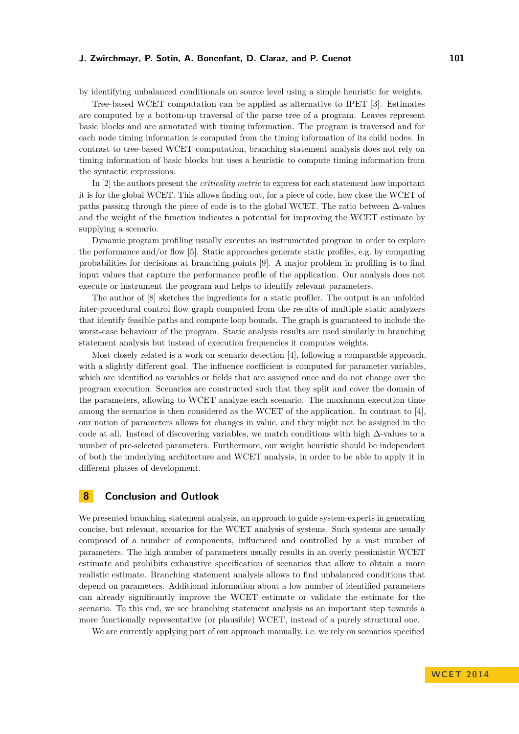### **J. Zwirchmayr, P. Sotin, A. Bonenfant, D. Claraz, and P. Cuenot 101**

by identifying unbalanced conditionals on source level using a simple heuristic for weights.

Tree-based WCET computation can be applied as alternative to IPET [\[3\]](#page-9-5). Estimates are computed by a bottom-up traversal of the parse tree of a program. Leaves represent basic blocks and are annotated with timing information. The program is traversed and for each node timing information is computed from the timing information of its child nodes. In contrast to tree-based WCET computation, branching statement analysis does not rely on timing information of basic blocks but uses a heuristic to compute timing information from the syntactic expressions.

In [\[2\]](#page-9-6) the authors present the *criticality metric* to express for each statement how important it is for the global WCET. This allows finding out, for a piece of code, how close the WCET of paths passing through the piece of code is to the global WCET. The ratio between  $\Delta$ -values and the weight of the function indicates a potential for improving the WCET estimate by supplying a scenario.

Dynamic program profiling usually executes an instrumented program in order to explore the performance and/or flow [\[5\]](#page-9-7). Static approaches generate static profiles, e.g. by computing probabilities for decisions at branching points [\[9\]](#page-9-8). A major problem in profiling is to find input values that capture the performance profile of the application. Our analysis does not execute or instrument the program and helps to identify relevant parameters.

The author of [\[8\]](#page-9-9) sketches the ingredients for a static profiler. The output is an unfolded inter-procedural control flow graph computed from the results of multiple static analyzers that identify feasible paths and compute loop bounds. The graph is guaranteed to include the worst-case behaviour of the program. Static analysis results are used similarly in branching statement analysis but instead of execution frequencies it computes weights.

Most closely related is a work on scenario detection [\[4\]](#page-9-10), following a comparable approach, with a slightly different goal. The influence coefficient is computed for parameter variables, which are identified as variables or fields that are assigned once and do not change over the program execution. Scenarios are constructed such that they split and cover the domain of the parameters, allowing to WCET analyze each scenario. The maximum execution time among the scenarios is then considered as the WCET of the application. In contrast to [\[4\]](#page-9-10), our notion of parameters allows for changes in value, and they might not be assigned in the code at all. Instead of discovering variables, we match conditions with high  $\Delta$ -values to a number of pre-selected parameters. Furthermore, our weight heuristic should be independent of both the underlying architecture and WCET analysis, in order to be able to apply it in different phases of development.

# <span id="page-8-0"></span>**8 Conclusion and Outlook**

We presented branching statement analysis, an approach to guide system-experts in generating concise, but relevant, scenarios for the WCET analysis of systems. Such systems are usually composed of a number of components, influenced and controlled by a vast number of parameters. The high number of parameters usually results in an overly pessimistic WCET estimate and prohibits exhaustive specification of scenarios that allow to obtain a more realistic estimate. Branching statement analysis allows to find unbalanced conditions that depend on parameters. Additional information about a low number of identified parameters can already significantly improve the WCET estimate or validate the estimate for the scenario. To this end, we see branching statement analysis as an important step towards a more functionally representative (or plausible) WCET, instead of a purely structural one.

We are currently applying part of our approach manually, i.e. we rely on scenarios specified